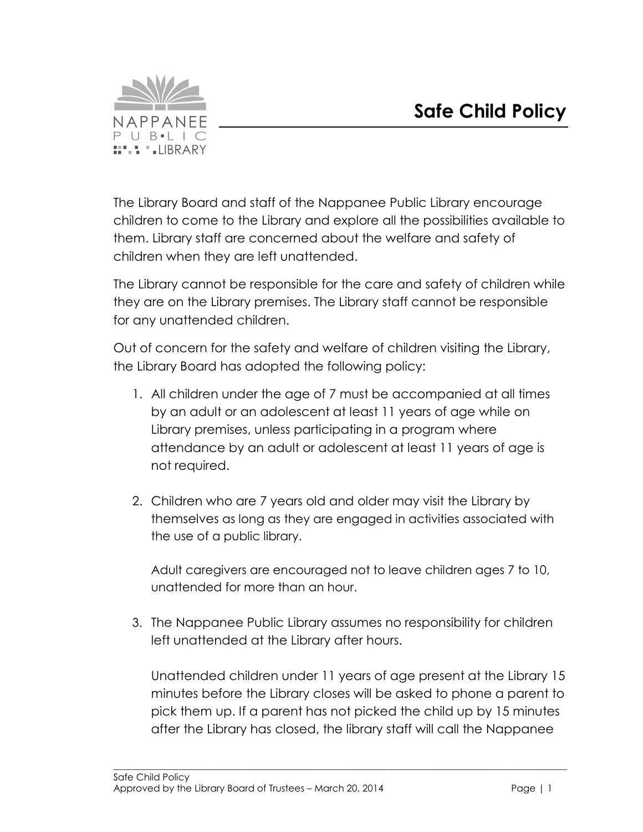

The Library Board and staff of the Nappanee Public Library encourage children to come to the Library and explore all the possibilities available to them. Library staff are concerned about the welfare and safety of children when they are left unattended.

The Library cannot be responsible for the care and safety of children while they are on the Library premises. The Library staff cannot be responsible for any unattended children.

Out of concern for the safety and welfare of children visiting the Library, the Library Board has adopted the following policy:

- 1. All children under the age of 7 must be accompanied at all times by an adult or an adolescent at least 11 years of age while on Library premises, unless participating in a program where attendance by an adult or adolescent at least 11 years of age is not required.
- 2. Children who are 7 years old and older may visit the Library by themselves as long as they are engaged in activities associated with the use of a public library.

Adult caregivers are encouraged not to leave children ages 7 to 10, unattended for more than an hour.

3. The Nappanee Public Library assumes no responsibility for children left unattended at the Library after hours.

 $\_$  . The contribution of the contribution of the contribution of the contribution of the contribution of the contribution of the contribution of the contribution of the contribution of the contribution of the contributio

Unattended children under 11 years of age present at the Library 15 minutes before the Library closes will be asked to phone a parent to pick them up. If a parent has not picked the child up by 15 minutes after the Library has closed, the library staff will call the Nappanee